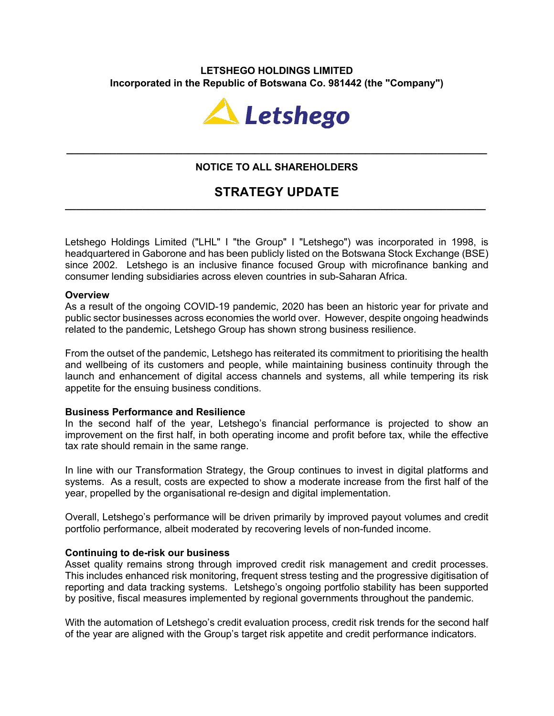## **LETSHEGO HOLDINGS LIMITED Incorporated in the Republic of Botswana Co. 981442 (the "Company")**



## **NOTICE TO ALL SHAREHOLDERS**

**\_\_\_\_\_\_\_\_\_\_\_\_\_\_\_\_\_\_\_\_\_\_\_\_\_\_\_\_\_\_\_\_\_\_\_\_\_\_\_\_\_\_\_\_\_\_\_\_\_\_\_\_\_\_\_\_\_\_\_\_\_\_\_\_\_\_\_\_\_\_\_\_\_\_\_\_**

# **STRATEGY UPDATE \_\_\_\_\_\_\_\_\_\_\_\_\_\_\_\_\_\_\_\_\_\_\_\_\_\_\_\_\_\_\_\_\_\_\_\_\_\_\_\_\_\_\_\_\_\_\_\_\_\_\_\_\_\_\_\_\_\_\_\_\_\_\_\_\_\_\_\_\_\_\_\_\_\_\_\_**

Letshego Holdings Limited ("LHL" I "the Group" I "Letshego") was incorporated in 1998, is headquartered in Gaborone and has been publicly listed on the Botswana Stock Exchange (BSE) since 2002. Letshego is an inclusive finance focused Group with microfinance banking and consumer lending subsidiaries across eleven countries in sub-Saharan Africa.

## **Overview**

As a result of the ongoing COVID-19 pandemic, 2020 has been an historic year for private and public sector businesses across economies the world over. However, despite ongoing headwinds related to the pandemic, Letshego Group has shown strong business resilience.

From the outset of the pandemic, Letshego has reiterated its commitment to prioritising the health and wellbeing of its customers and people, while maintaining business continuity through the launch and enhancement of digital access channels and systems, all while tempering its risk appetite for the ensuing business conditions.

## **Business Performance and Resilience**

In the second half of the year, Letshego's financial performance is projected to show an improvement on the first half, in both operating income and profit before tax, while the effective tax rate should remain in the same range.

In line with our Transformation Strategy, the Group continues to invest in digital platforms and systems. As a result, costs are expected to show a moderate increase from the first half of the year, propelled by the organisational re-design and digital implementation.

Overall, Letshego's performance will be driven primarily by improved payout volumes and credit portfolio performance, albeit moderated by recovering levels of non-funded income.

## **Continuing to de-risk our business**

Asset quality remains strong through improved credit risk management and credit processes. This includes enhanced risk monitoring, frequent stress testing and the progressive digitisation of reporting and data tracking systems. Letshego's ongoing portfolio stability has been supported by positive, fiscal measures implemented by regional governments throughout the pandemic.

With the automation of Letshego's credit evaluation process, credit risk trends for the second half of the year are aligned with the Group's target risk appetite and credit performance indicators.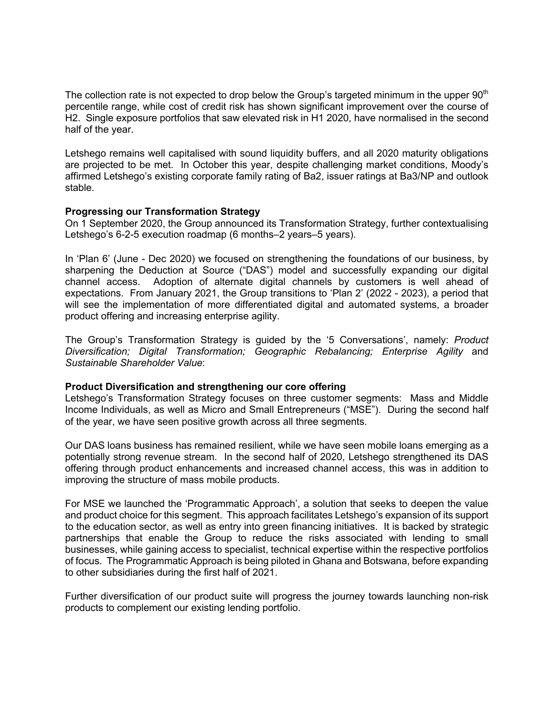The collection rate is not expected to drop below the Group's targeted minimum in the upper  $90<sup>th</sup>$ percentile range, while cost of credit risk has shown significant improvement over the course of H2. Single exposure portfolios that saw elevated risk in H1 2020, have normalised in the second half of the year.

Letshego remains well capitalised with sound liquidity buffers, and all 2020 maturity obligations are projected to be met. In October this year, despite challenging market conditions, Moody's affirmed Letshego's existing corporate family rating of Ba2, issuer ratings at Ba3/NP and outlook stable.

## **Progressing our Transformation Strategy**

On 1 September 2020, the Group announced its Transformation Strategy, further contextualising Letshego's 6-2-5 execution roadmap (6 months–2 years–5 years).

In 'Plan 6' (June - Dec 2020) we focused on strengthening the foundations of our business, by sharpening the Deduction at Source ("DAS") model and successfully expanding our digital channel access. Adoption of alternate digital channels by customers is well ahead of expectations. From January 2021, the Group transitions to 'Plan 2' (2022 - 2023), a period that will see the implementation of more differentiated digital and automated systems, a broader product offering and increasing enterprise agility.

The Group's Transformation Strategy is guided by the '5 Conversations', namely: *Product Diversification; Digital Transformation; Geographic Rebalancing; Enterprise Agility* and *Sustainable Shareholder Value*:

#### **Product Diversification and strengthening our core offering**

Letshego's Transformation Strategy focuses on three customer segments: Mass and Middle Income Individuals, as well as Micro and Small Entrepreneurs ("MSE"). During the second half of the year, we have seen positive growth across all three segments.

Our DAS loans business has remained resilient, while we have seen mobile loans emerging as a potentially strong revenue stream. In the second half of 2020, Letshego strengthened its DAS offering through product enhancements and increased channel access, this was in addition to improving the structure of mass mobile products.

For MSE we launched the 'Programmatic Approach', a solution that seeks to deepen the value and product choice for this segment. This approach facilitates Letshego's expansion of its support to the education sector, as well as entry into green financing initiatives. It is backed by strategic partnerships that enable the Group to reduce the risks associated with lending to small businesses, while gaining access to specialist, technical expertise within the respective portfolios of focus. The Programmatic Approach is being piloted in Ghana and Botswana, before expanding to other subsidiaries during the first half of 2021.

Further diversification of our product suite will progress the journey towards launching non-risk products to complement our existing lending portfolio.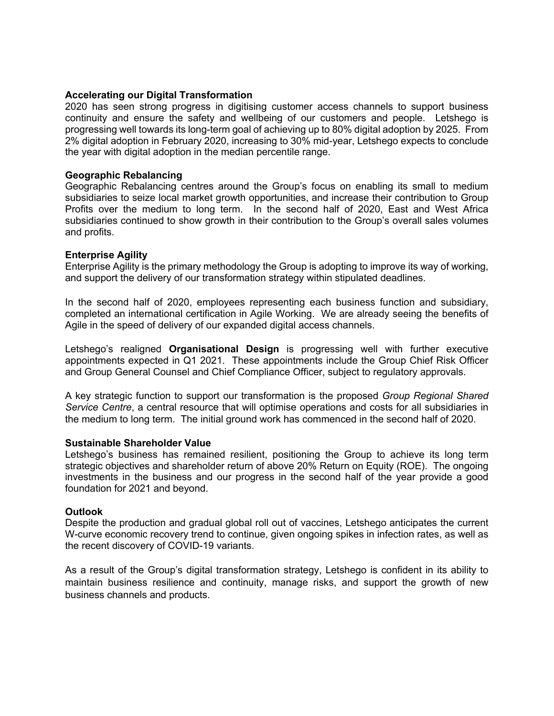#### **Accelerating our Digital Transformation**

2020 has seen strong progress in digitising customer access channels to support business continuity and ensure the safety and wellbeing of our customers and people. Letshego is progressing well towards its long-term goal of achieving up to 80% digital adoption by 2025. From 2% digital adoption in February 2020, increasing to 30% mid-year, Letshego expects to conclude the year with digital adoption in the median percentile range.

#### **Geographic Rebalancing**

Geographic Rebalancing centres around the Group's focus on enabling its small to medium subsidiaries to seize local market growth opportunities, and increase their contribution to Group Profits over the medium to long term. In the second half of 2020, East and West Africa subsidiaries continued to show growth in their contribution to the Group's overall sales volumes and profits.

#### **Enterprise Agility**

Enterprise Agility is the primary methodology the Group is adopting to improve its way of working, and support the delivery of our transformation strategy within stipulated deadlines.

In the second half of 2020, employees representing each business function and subsidiary, completed an international certification in Agile Working. We are already seeing the benefits of Agile in the speed of delivery of our expanded digital access channels.

Letshego's realigned **Organisational Design** is progressing well with further executive appointments expected in Q1 2021. These appointments include the Group Chief Risk Officer and Group General Counsel and Chief Compliance Officer, subject to regulatory approvals.

A key strategic function to support our transformation is the proposed *Group Regional Shared Service Centre*, a central resource that will optimise operations and costs for all subsidiaries in the medium to long term. The initial ground work has commenced in the second half of 2020.

## **Sustainable Shareholder Value**

Letshego's business has remained resilient, positioning the Group to achieve its long term strategic objectives and shareholder return of above 20% Return on Equity (ROE). The ongoing investments in the business and our progress in the second half of the year provide a good foundation for 2021 and beyond.

#### **Outlook**

Despite the production and gradual global roll out of vaccines, Letshego anticipates the current W-curve economic recovery trend to continue, given ongoing spikes in infection rates, as well as the recent discovery of COVID-19 variants.

As a result of the Group's digital transformation strategy, Letshego is confident in its ability to maintain business resilience and continuity, manage risks, and support the growth of new business channels and products.